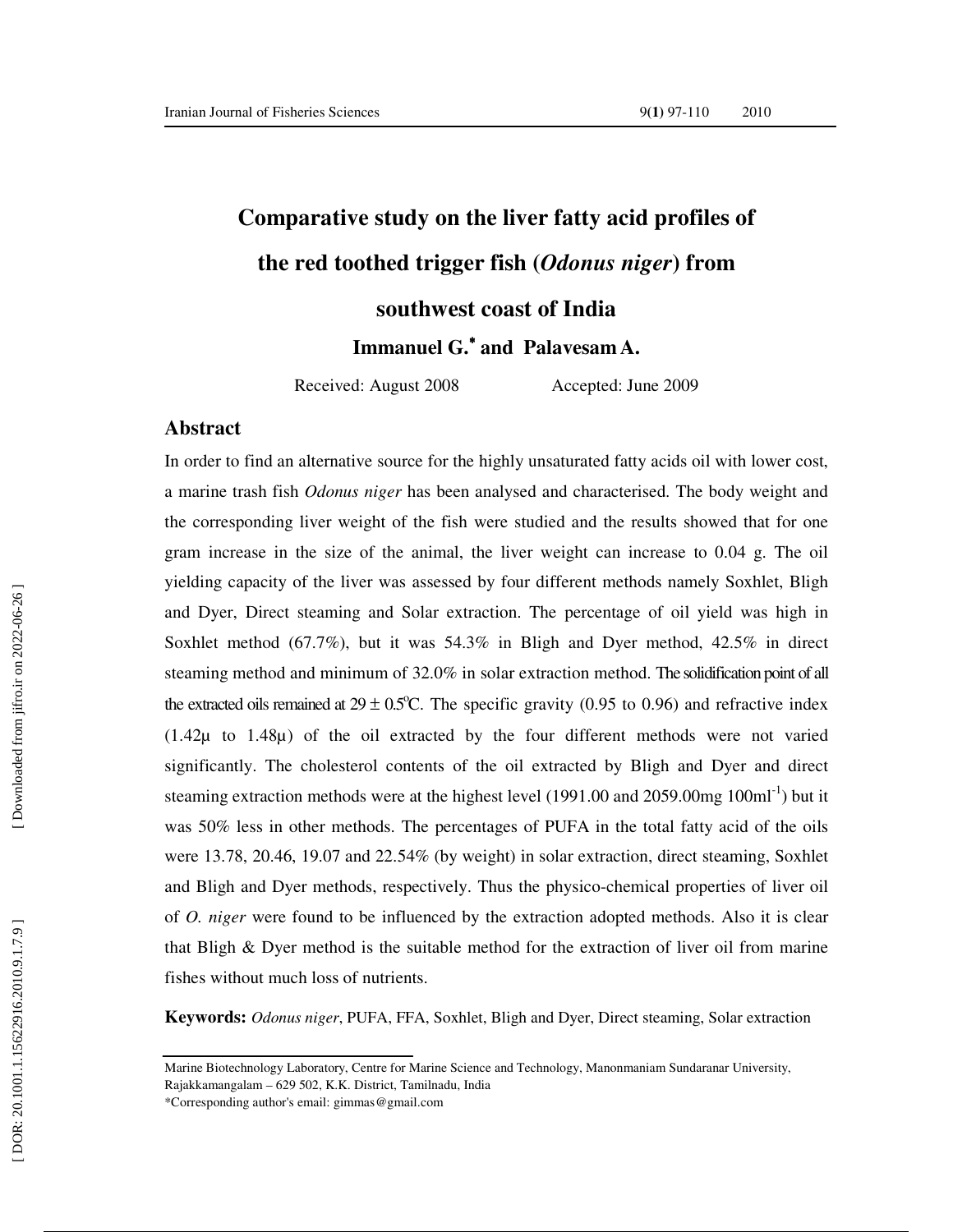# **Comparative study on the liver fatty acid profiles of the red toothed trigger fish (***Odonus niger***) from**

**southwest coast of India** 

**Immanuel G.**<sup>∗</sup> **and Palavesam A.**

Received: August 2008 Accepted: June 2009

#### **Abstract**

In order to find an alternative source for the highly unsaturated fatty acids oil with lower cost, a marine trash fish *Odonus niger* has been analysed and characterised. The body weight and the corresponding liver weight of the fish were studied and the results showed that for one gram increase in the size of the animal, the liver weight can increase to 0.04 g. The oil yielding capacity of the liver was assessed by four different methods namely Soxhlet, Bligh and Dyer, Direct steaming and Solar extraction. The percentage of oil yield was high in Soxhlet method (67.7%), but it was 54.3% in Bligh and Dyer method, 42.5% in direct steaming method and minimum of 32.0% in solar extraction method. The solidification point of all the extracted oils remained at  $29 \pm 0.5^{\circ}$ C. The specific gravity (0.95 to 0.96) and refractive index  $(1.42\mu)$  to  $1.48\mu)$  of the oil extracted by the four different methods were not varied significantly. The cholesterol contents of the oil extracted by Bligh and Dyer and direct steaming extraction methods were at the highest level (1991.00 and 2059.00mg  $100 \text{ml}^{-1}$ ) but it was 50% less in other methods. The percentages of PUFA in the total fatty acid of the oils were 13.78, 20.46, 19.07 and 22.54% (by weight) in solar extraction, direct steaming, Soxhlet and Bligh and Dyer methods, respectively. Thus the physico-chemical properties of liver oil of *O. niger* were found to be influenced by the extraction adopted methods. Also it is clear that Bligh  $\&$  Dyer method is the suitable method for the extraction of liver oil from marine fishes without much loss of nutrients.

**Keywords:** *Odonus niger*, PUFA, FFA, Soxhlet, Bligh and Dyer, Direct steaming, Solar extraction

Marine Biotechnology Laboratory, Centre for Marine Science and Technology, Manonmaniam Sundaranar University, Rajakkamangalam – 629 502, K.K. District, Tamilnadu, India

<sup>\*</sup>Corresponding author's email: gimmas@gmail.com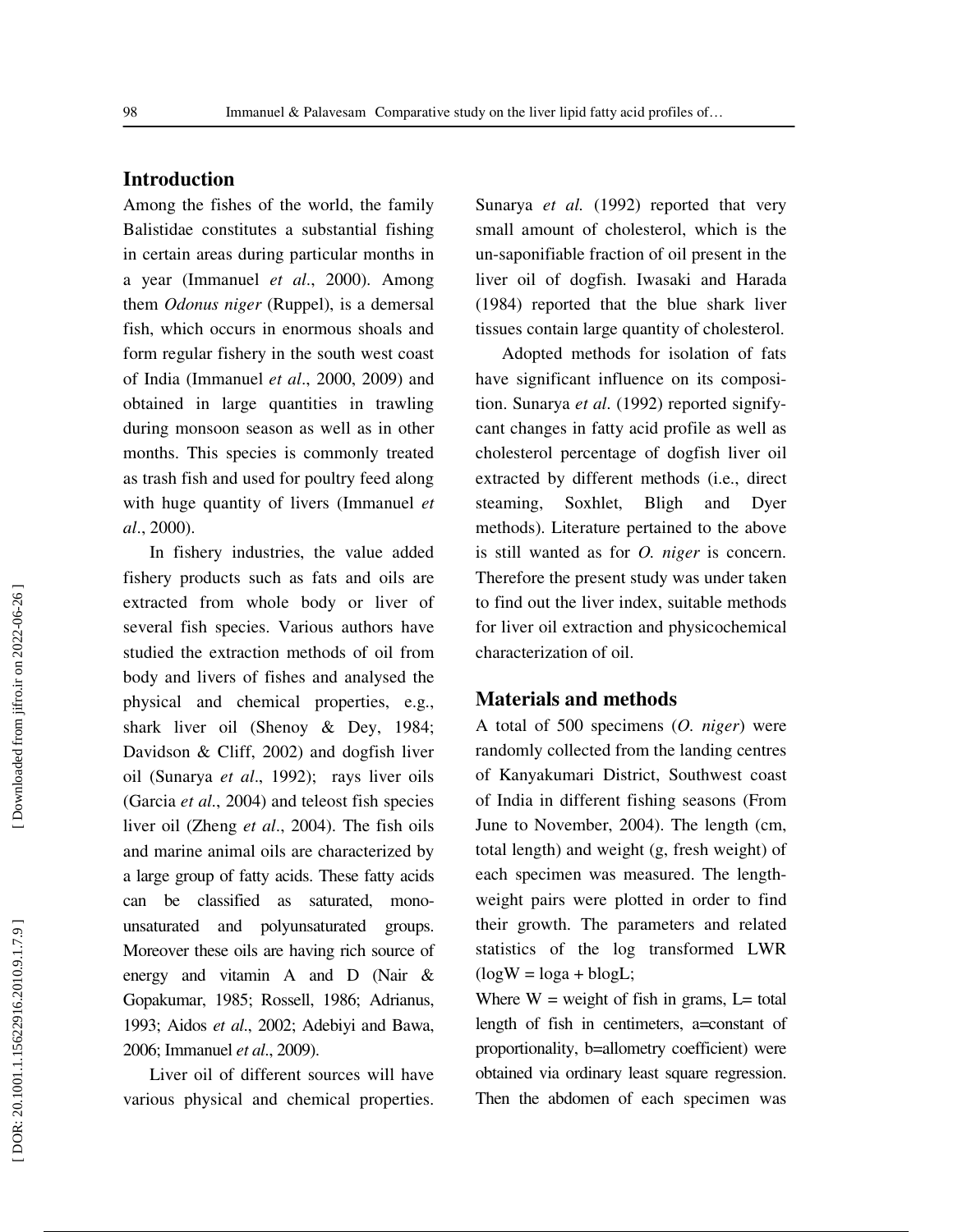## **Introduction**

Among the fishes of the world, the family Balistidae constitutes a substantial fishing in certain areas during particular months in a year (Immanuel *et al*., 2000). Among them *Odonus niger* (Ruppel), is a demersal fish, which occurs in enormous shoals and form regular fishery in the south west coast of India (Immanuel *et al*., 2000, 2009) and obtained in large quantities in trawling during monsoon season as well as in other months. This species is commonly treated as trash fish and used for poultry feed along with huge quantity of livers (Immanuel *et al*., 2000).

In fishery industries, the value added fishery products such as fats and oils are extracted from whole body or liver of several fish species. Various authors have studied the extraction methods of oil from body and livers of fishes and analysed the physical and chemical properties, e.g., shark liver oil (Shenoy & Dey, 1984; Davidson & Cliff, 2002) and dogfish liver oil (Sunarya *et al*., 1992); rays liver oils (Garcia *et al*., 2004) and teleost fish species liver oil (Zheng *et al*., 2004). The fish oils and marine animal oils are characterized by a large group of fatty acids. These fatty acids can be classified as saturated, monounsaturated and polyunsaturated groups. Moreover these oils are having rich source of energy and vitamin A and D (Nair & Gopakumar, 1985; Rossell, 1986; Adrianus, 1993; Aidos *et al*., 2002; Adebiyi and Bawa, 2006; Immanuel *et al*., 2009).

Liver oil of different sources will have various physical and chemical properties.

Sunarya et al. (1992) reported that very small amount of cholesterol, which is the un-saponifiable fraction of oil present in the liver oil of dogfish. Iwasaki and Harada (1984) reported that the blue shark liver tissues contain large quantity of cholesterol.

Adopted methods for isolation of fats have significant influence on its composition. Sunarya *et al*. (1992) reported signifycant changes in fatty acid profile as well as cholesterol percentage of dogfish liver oil extracted by different methods (i.e., direct steaming, Soxhlet, Bligh and Dyer methods). Literature pertained to the above is still wanted as for *O. niger* is concern. Therefore the present study was under taken to find out the liver index, suitable methods for liver oil extraction and physicochemical characterization of oil.

#### **Materials and methods**

A total of 500 specimens (*O. niger*) were randomly collected from the landing centres of Kanyakumari District, Southwest coast of India in different fishing seasons (From June to November, 2004). The length (cm, total length) and weight (g, fresh weight) of each specimen was measured. The lengthweight pairs were plotted in order to find their growth. The parameters and related statistics of the log transformed LWR  $(logW = loga + blogL)$ ;

Where  $W = weight$  of fish in grams, L= total length of fish in centimeters, a=constant of proportionality, b=allometry coefficient) were obtained via ordinary least square regression. Then the abdomen of each specimen was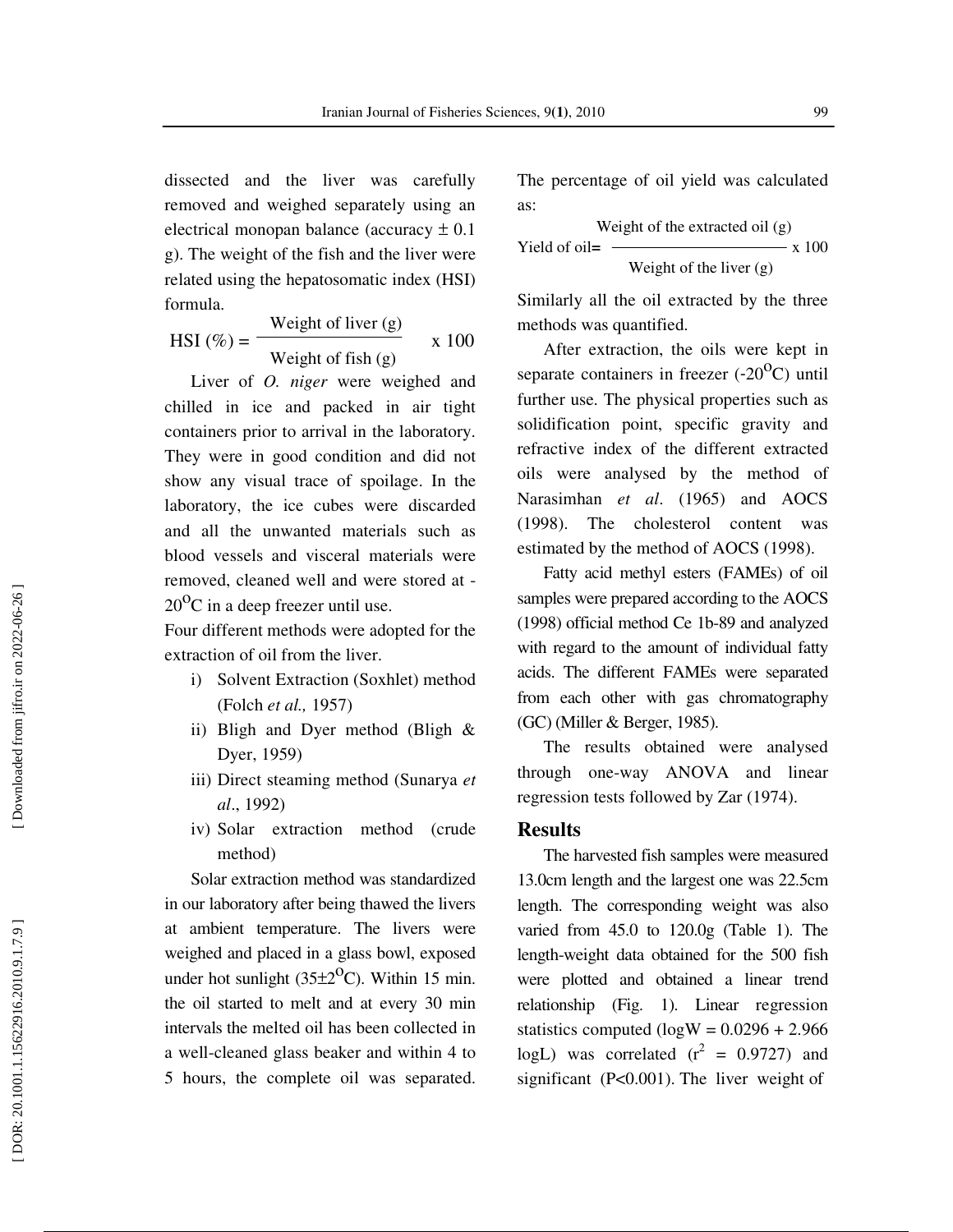dissected and the liver was carefully removed and weighed separately using an electrical monopan balance (accuracy  $\pm$  0.1 g). The weight of the fish and the liver were related using the hepatosomatic index (HSI) formula.

$$
HSI (\%) = \frac{\text{Weight of liver (g)}}{\text{Weight of fish (g)}} \qquad x \text{ 100}
$$

Liver of *O. niger* were weighed and chilled in ice and packed in air tight containers prior to arrival in the laboratory. They were in good condition and did not show any visual trace of spoilage. In the laboratory, the ice cubes were discarded and all the unwanted materials such as blood vessels and visceral materials were removed, cleaned well and were stored at -  $20^{\circ}$ C in a deep freezer until use.

Four different methods were adopted for the extraction of oil from the liver.

- i) Solvent Extraction (Soxhlet) method (Folch *et al.,* 1957)
- ii) Bligh and Dyer method (Bligh & Dyer, 1959)
- iii) Direct steaming method (Sunarya *et al*., 1992)
- iv) Solar extraction method (crude method)

Solar extraction method was standardized in our laboratory after being thawed the livers at ambient temperature. The livers were weighed and placed in a glass bowl, exposed under hot sunlight ( $35\pm2$ <sup>o</sup>C). Within 15 min. the oil started to melt and at every 30 min intervals the melted oil has been collected in a well-cleaned glass beaker and within 4 to 5 hours, the complete oil was separated.

The percentage of oil yield was calculated as:

 Weight of the extracted oil (g) Yield of oil=  $\frac{3.100}{x}$ Weight of the liver (g)

Similarly all the oil extracted by the three methods was quantified.

After extraction, the oils were kept in separate containers in freezer  $(-20^{\circ}\text{C})$  until further use. The physical properties such as solidification point, specific gravity and refractive index of the different extracted oils were analysed by the method of Narasimhan *et al* . (1965) and AOCS (1998). The cholesterol content was estimated by the method of AOCS (1998).

Fatty acid methyl esters (FAMEs) of oil samples were prepared according to the AOCS (1998) official method Ce 1b-89 and analyzed with regard to the amount of individual fatty acids. The different FAMEs were separated from each other with gas chromatography (GC) (Miller & Berger, 1985).

The results obtained were analysed through one-way ANOVA and linear regression tests followed by Zar (1974).

#### **Results**

The harvested fish samples were measured 13.0cm length and the largest one was 22.5cm length. The corresponding weight was also varied from 45.0 to 120.0g (Table 1). The length-weight data obtained for the 500 fish were plotted and obtained a linear trend relationship (Fig. 1). Linear regression statistics computed ( $log W = 0.0296 + 2.966$ logL) was correlated  $(r^2 = 0.9727)$  and significant (P<0.001). The liver weight of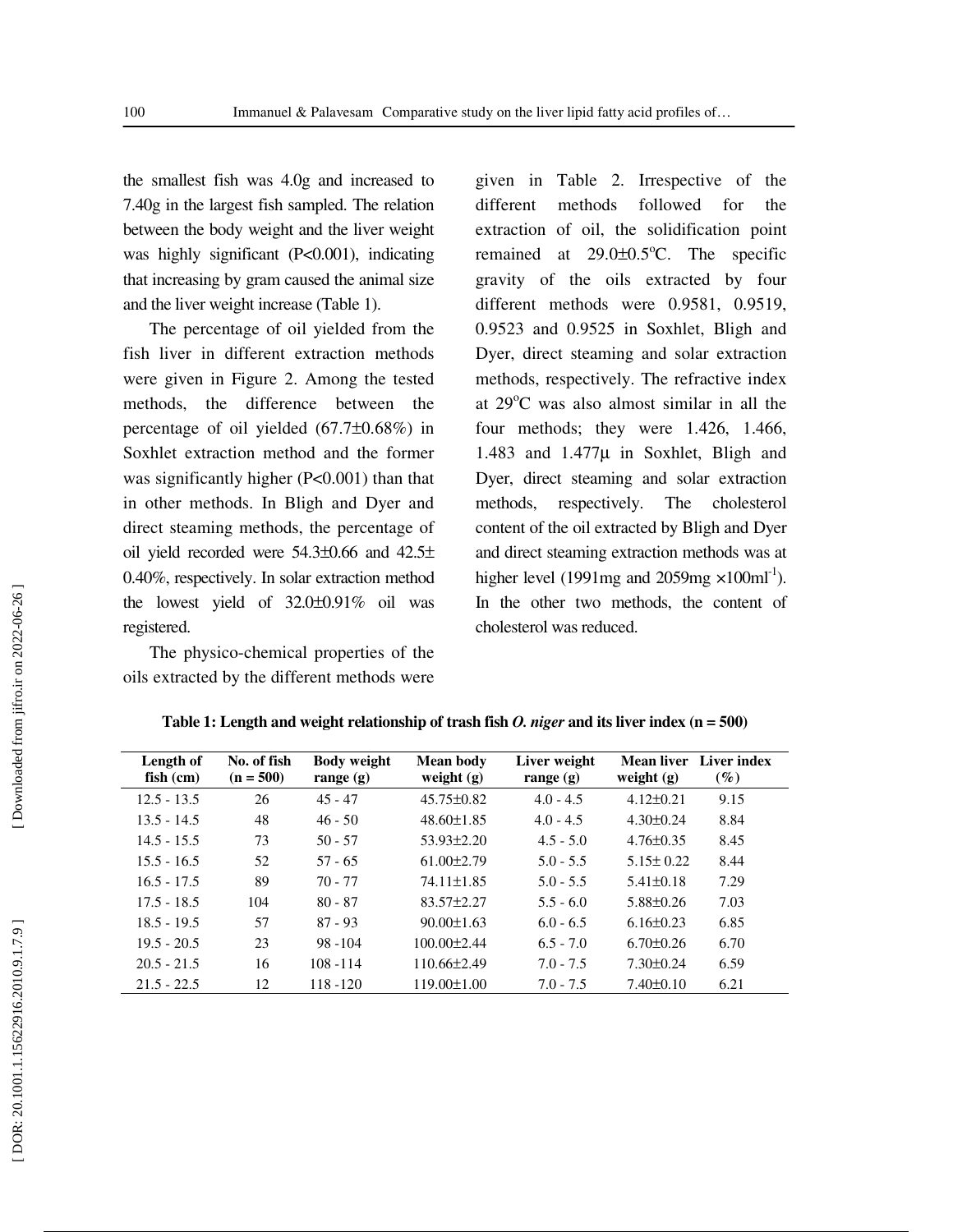the smallest fish was 4.0g and increased to 7.40g in the largest fish sampled. The relation between the body weight and the liver weight was highly significant (P<0.001), indicating that increasing by gram caused the animal size and the liver weight increase (Table 1).

The percentage of oil yielded from the fish liver in different extraction methods were given in Figure 2. Among the tested methods, the difference between the percentage of oil yielded (67.7 ±0.68%) in Soxhlet extraction method and the former was significantly higher (P<0.001) than that in other methods. In Bligh and Dyer and direct steaming methods, the percentage of oil yield recorded were  $54.3\pm0.66$  and  $42.5\pm$ 0.40%, respectively. In solar extraction method the lowest yield of 32.0 ±0.91% oil was registered.

The physico-chemical properties of the oils extracted by the different methods were

given in Table 2. Irrespective of the different methods followed for the extraction of oil, the solidification point remained at  $29.0 \pm 0.5^{\circ}$ C. The specific gravity of the oils extracted by four different methods were 0.9581, 0.9519, 0.9523 and 0.9525 in Soxhlet, Bligh and Dyer, direct steaming and solar extraction methods, respectively. The refractive index at 29°C was also almost similar in all the four methods; they were 1.426, 1.466, 1.483 and 1.477 µ in Soxhlet, Bligh and Dyer, direct steaming and solar extraction methods, respectively. The cholesterol content of the oil extracted by Bligh and Dyer and direct steaming extraction methods was at higher level (1991mg and 2059mg  $\times 100$ ml<sup>-1</sup>). In the other two methods, the content of cholesterol was reduced.

| Length of<br>$fish$ (cm) | No. of fish<br>$(n = 500)$ | <b>Body weight</b><br>range $(g)$ | <b>Mean body</b><br>weight $(g)$ | Liver weight<br>range $(g)$ | weight $(g)$    | Mean liver Liver index<br>$(\%)$ |
|--------------------------|----------------------------|-----------------------------------|----------------------------------|-----------------------------|-----------------|----------------------------------|
| $12.5 - 13.5$            | 26                         | $45 - 47$                         | $45.75 \pm 0.82$                 | $4.0 - 4.5$                 | $4.12\pm0.21$   | 9.15                             |
| $13.5 - 14.5$            | 48                         | $46 - 50$                         | $48.60 \pm 1.85$                 | $4.0 - 4.5$                 | $4.30\pm0.24$   | 8.84                             |
| $14.5 - 15.5$            | 73                         | $50 - 57$                         | $53.93 \pm 2.20$                 | $4.5 - 5.0$                 | $4.76\pm0.35$   | 8.45                             |
| $15.5 - 16.5$            | 52                         | $57 - 65$                         | $61.00\pm2.79$                   | $5.0 - 5.5$                 | $5.15 \pm 0.22$ | 8.44                             |
| $16.5 - 17.5$            | 89                         | $70 - 77$                         | 74.11±1.85                       | $5.0 - 5.5$                 | $5.41 \pm 0.18$ | 7.29                             |
| $17.5 - 18.5$            | 104                        | $80 - 87$                         | $83.57 \pm 2.27$                 | $5.5 - 6.0$                 | $5.88\pm0.26$   | 7.03                             |
| $18.5 - 19.5$            | 57                         | $87 - 93$                         | $90.00 \pm 1.63$                 | $6.0 - 6.5$                 | $6.16\pm0.23$   | 6.85                             |
| $19.5 - 20.5$            | 23                         | $98 - 104$                        | $100.00 \pm 2.44$                | $6.5 - 7.0$                 | $6.70\pm0.26$   | 6.70                             |
| $20.5 - 21.5$            | 16                         | $108 - 114$                       | $110.66\pm2.49$                  | $7.0 - 7.5$                 | $7.30\pm0.24$   | 6.59                             |
| $21.5 - 22.5$            | 12                         | $118 - 120$                       | $119.00 \pm 1.00$                | $7.0 - 7.5$                 | $7.40\pm0.10$   | 6.21                             |

| Table 1: Length and weight relationship of trash fish O. niger and its liver index $(n = 500)$ |  |  |  |
|------------------------------------------------------------------------------------------------|--|--|--|
|                                                                                                |  |  |  |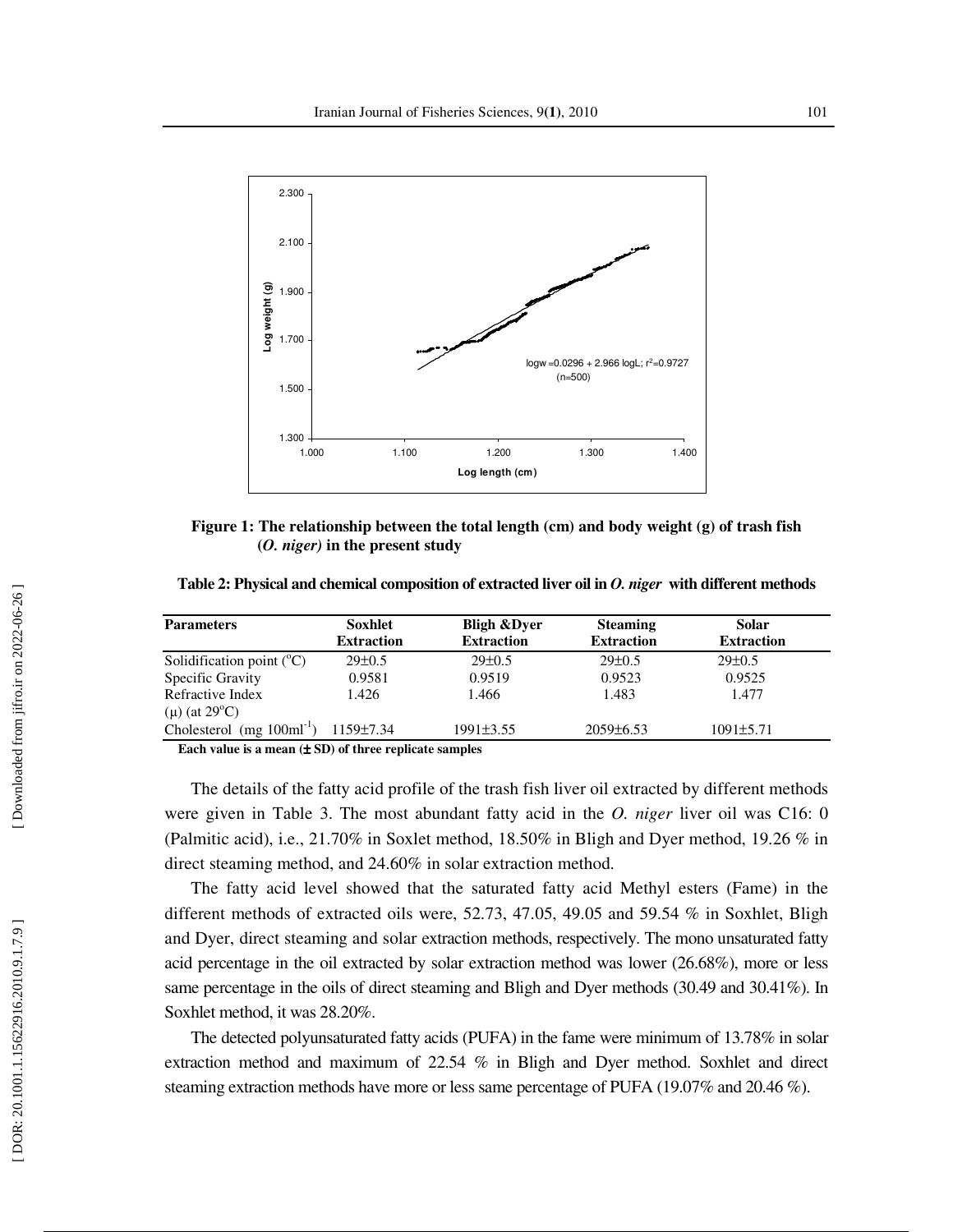

**Figure 1: The relationship between the total length (cm) and body weight (g) of trash fish (***O. niger)* **in the present study**

| Table 2: Physical and chemical composition of extracted liver oil in O. niger with different methods |  |  |  |
|------------------------------------------------------------------------------------------------------|--|--|--|
|------------------------------------------------------------------------------------------------------|--|--|--|

| <b>Parameters</b>                                | Soxhlet           | <b>Bligh &amp;Dyer</b> | <b>Steaming</b>   | <b>Solar</b>      |
|--------------------------------------------------|-------------------|------------------------|-------------------|-------------------|
|                                                  | <b>Extraction</b> | <b>Extraction</b>      | <b>Extraction</b> | <b>Extraction</b> |
| Solidification point $({}^{\circ}C)$             | $29 \pm 0.5$      | $29 \pm 0.5$           | $29 \pm 0.5$      | $29 \pm 0.5$      |
| Specific Gravity                                 | 0.9581            | 0.9519                 | 0.9523            | 0.9525            |
| Refractive Index                                 | 1.426             | 1.466                  | 1.483             | 1.477             |
| (μ) (at $29^{\circ}$ C)                          |                   |                        |                   |                   |
| Cholesterol (mg $100 \text{ml}^{-1}$ ) 1159±7.34 |                   | $1991\pm3.55$          | $2059\pm6.53$     | $1091 \pm 5.71$   |

**Each value is a mean (**± **SD) of three replicate samples** 

The details of the fatty acid profile of the trash fish liver oil extracted by different methods were given in Table 3. The most abundant fatty acid in the *O. niger* liver oil was C16: 0 (Palmitic acid), i.e., 21.70% in Soxlet method, 18.50% in Bligh and Dyer method, 19.26 % in direct steaming method, and 24.60% in solar extraction method.

The fatty acid level showed that the saturated fatty acid Methyl esters (Fame) in the different methods of extracted oils were, 52.73, 47.05, 49.05 and 59.54 % in Soxhlet, Bligh and Dyer, direct steaming and solar extraction methods, respectively. The mono unsaturated fatty acid percentage in the oil extracted by solar extraction method was lower (26.68%), more or less same percentage in the oils of direct steaming and Bligh and Dyer methods (30.49 and 30.41%). In Soxhlet method, it was 28.20%.

The detected polyunsaturated fatty acids (PUFA) in the fame were minimum of 13.78% in solar extraction method and maximum of 22.54 % in Bligh and Dyer method. Soxhlet and direct steaming extraction methods have more or less same percentage of PUFA (19.07% and 20.46 %).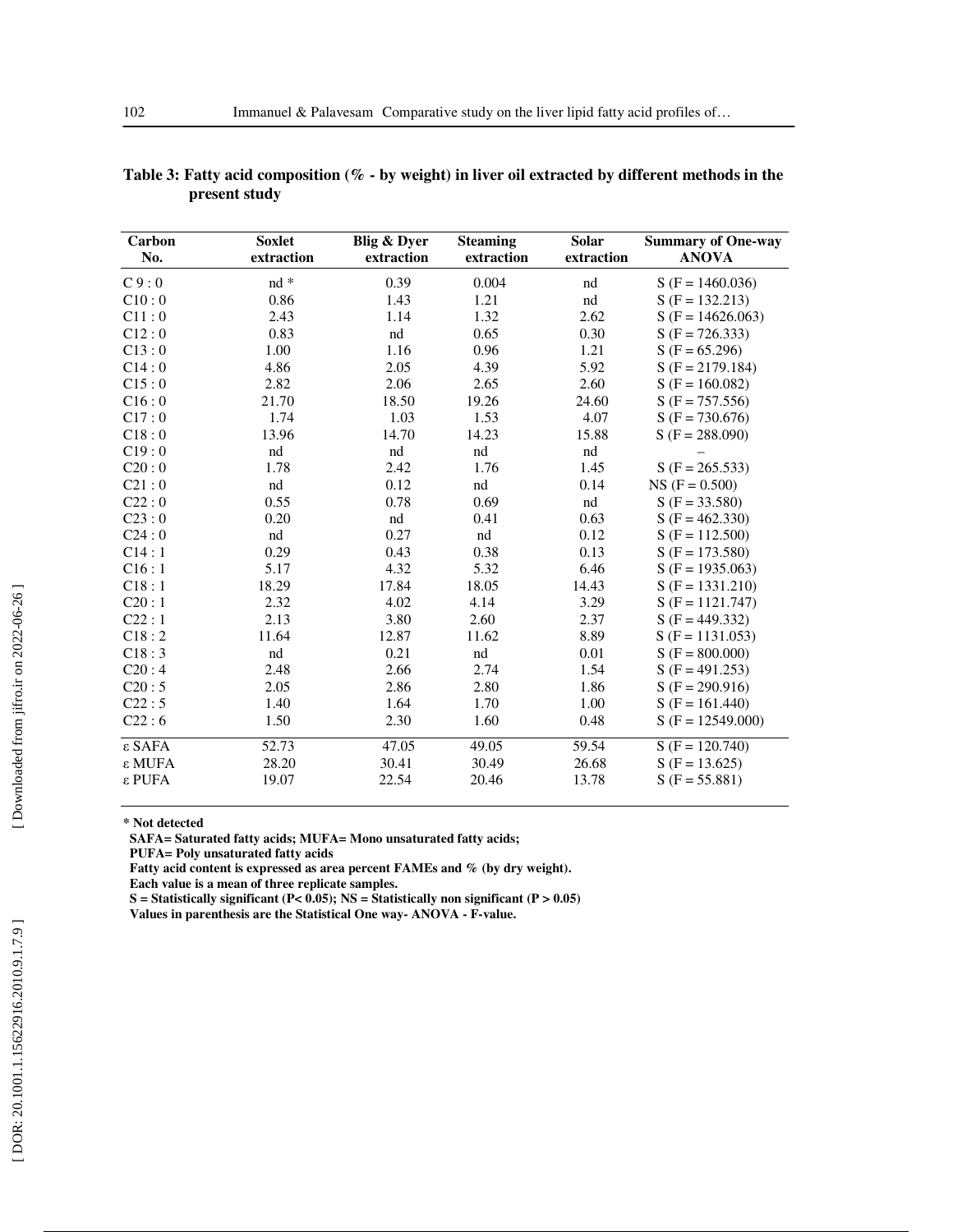| Carbon          | <b>Soxlet</b> | Blig & Dyer | <b>Steaming</b> | Solar      | <b>Summary of One-way</b> |
|-----------------|---------------|-------------|-----------------|------------|---------------------------|
| No.             | extraction    | extraction  | extraction      | extraction | <b>ANOVA</b>              |
| C9:0            | $nd *$        | 0.39        | 0.004           | nd         | $S(F = 1460.036)$         |
| C10:0           | 0.86          | 1.43        | 1.21            | nd         | $S(F = 132.213)$          |
| C11:0           | 2.43          | 1.14        | 1.32            | 2.62       | $S(F = 14626.063)$        |
| C12:0           | 0.83          | nd          | 0.65            | 0.30       | $S(F = 726.333)$          |
| C13:0           | 1.00          | 1.16        | 0.96            | 1.21       | $S(F = 65.296)$           |
| C14:0           | 4.86          | 2.05        | 4.39            | 5.92       | $S(F = 2179.184)$         |
| C15:0           | 2.82          | 2.06        | 2.65            | 2.60       | $S(F = 160.082)$          |
| C16:0           | 21.70         | 18.50       | 19.26           | 24.60      | $S(F = 757.556)$          |
| C17:0           | 1.74          | 1.03        | 1.53            | 4.07       | $S(F = 730.676)$          |
| C18:0           | 13.96         | 14.70       | 14.23           | 15.88      | $S(F = 288.090)$          |
| C19:0           | nd            | nd          | nd              | nd         |                           |
| C20:0           | 1.78          | 2.42        | 1.76            | 1.45       | $S(F = 265.533)$          |
| C21:0           | nd            | 0.12        | nd              | 0.14       | $NS (F = 0.500)$          |
| C22:0           | 0.55          | 0.78        | 0.69            | nd         | $S(F = 33.580)$           |
| C23:0           | 0.20          | nd          | 0.41            | 0.63       | $S(F = 462.330)$          |
| C24:0           | $^{\rm nd}$   | 0.27        | nd              | 0.12       | $S(F = 112.500)$          |
| C14:1           | 0.29          | 0.43        | 0.38            | 0.13       | $S(F = 173.580)$          |
| C16:1           | 5.17          | 4.32        | 5.32            | 6.46       | $S(F = 1935.063)$         |
| C18:1           | 18.29         | 17.84       | 18.05           | 14.43      | $S(F = 1331.210)$         |
| C20:1           | 2.32          | 4.02        | 4.14            | 3.29       | $S(F = 1121.747)$         |
| C22:1           | 2.13          | 3.80        | 2.60            | 2.37       | $S(F = 449.332)$          |
| C18:2           | 11.64         | 12.87       | 11.62           | 8.89       | $S(F = 1131.053)$         |
| C18:3           | nd            | 0.21        | nd              | 0.01       | $S(F = 800.000)$          |
| C20:4           | 2.48          | 2.66        | 2.74            | 1.54       | $S(F = 491.253)$          |
| C20:5           | 2.05          | 2.86        | 2.80            | 1.86       | $S(F = 290.916)$          |
| C22:5           | 1.40          | 1.64        | 1.70            | 1.00       | $S(F = 161.440)$          |
| C22:6           | 1.50          | 2.30        | 1.60            | 0.48       | $S$ (F = 12549.000)       |
| $\epsilon$ SAFA | 52.73         | 47.05       | 49.05           | 59.54      | $S(F = 120.740)$          |
| $ε$ MUFA        | 28.20         | 30.41       | 30.49           | 26.68      | $S(F = 13.625)$           |
| $ε$ PUFA        | 19.07         | 22.54       | 20.46           | 13.78      | $S(F = 55.881)$           |

| Table 3: Fatty acid composition ( $\%$ - by weight) in liver oil extracted by different methods in the |  |  |
|--------------------------------------------------------------------------------------------------------|--|--|
| present study                                                                                          |  |  |

**\* Not detected** 

 **SAFA= Saturated fatty acids; MUFA= Mono unsaturated fatty acids;** 

 **PUFA= Poly unsaturated fatty acids** 

 **Fatty acid content is expressed as area percent FAMEs and % (by dry weight). Each value is a mean of three replicate samples.** 

 **S = Statistically significant (P< 0.05); NS = Statistically non significant (P > 0.05) Values in parenthesis are the Statistical One way- ANOVA - F-value.** 

[Downloaded from jifro.ir on 2022-06-26]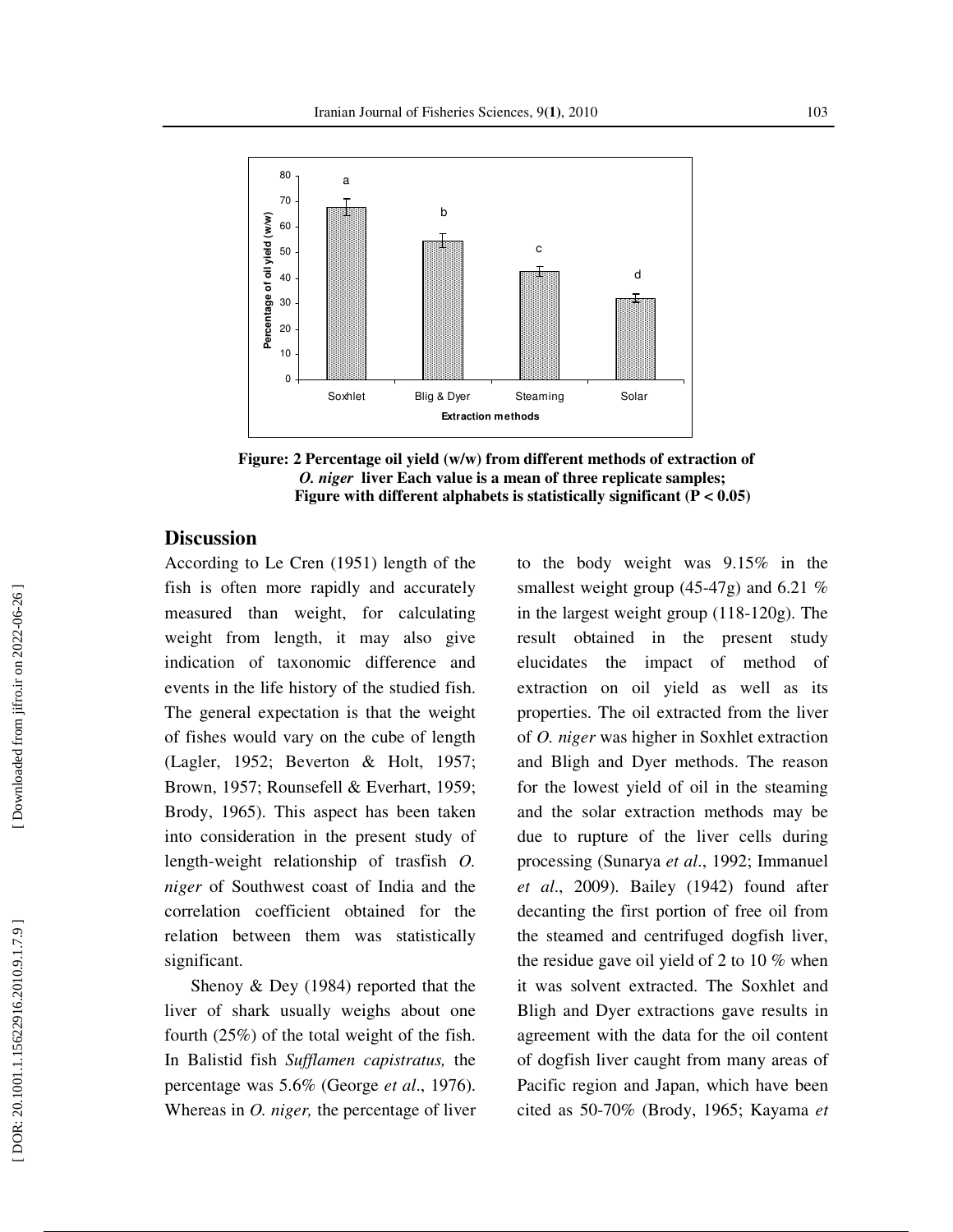

**Figure: 2 Percentage oil yield (w/w) from different methods of extraction of**   *O. niger* **liver Each value is a mean of three replicate samples; Figure with different alphabets is statistically significant (P < 0.05)** 

## **Discussion**

According to Le Cren (1951) length of the fish is often more rapidly and accurately measured than weight, for calculating weight from length, it may also give indication of taxonomic difference and events in the life history of the studied fish. The general expectation is that the weight of fishes would vary on the cube of length (Lagler, 1952; Beverton & Holt, 1957; Brown, 1957; Rounsefell & Everhart, 1959; Brody, 1965). This aspect has been taken into consideration in the present study of length-weight relationship of trasfish *O. niger* of Southwest coast of India and the correlation coefficient obtained for the relation between them was statistically significant.

Shenoy & Dey (1984) reported that the liver of shark usually weighs about one fourth (25%) of the total weight of the fish. In Balistid fish *Sufflamen capistratus,* the percentage was 5.6% (George *et al*., 1976). Whereas in *O. niger,* the percentage of liver

to the body weight was 9.15% in the smallest weight group (45-47g) and 6.21 % in the largest weight group (118-120g). The result obtained in the present study elucidates the impact of method of extraction on oil yield as well as its properties. The oil extracted from the liver of *O. niger* was higher in Soxhlet extraction and Bligh and Dyer methods. The reason for the lowest yield of oil in the steaming and the solar extraction methods may be due to rupture of the liver cells during processing (Sunarya *et al*., 1992; Immanuel *et al*., 2009). Bailey (1942) found after decanting the first portion of free oil from the steamed and centrifuged dogfish liver, the residue gave oil yield of 2 to 10  $\%$  when it was solvent extracted. The Soxhlet and Bligh and Dyer extractions gave results in agreement with the data for the oil content of dogfish liver caught from many areas of Pacific region and Japan, which have been cited as 50-70% (Brody, 1965; Kayama *et*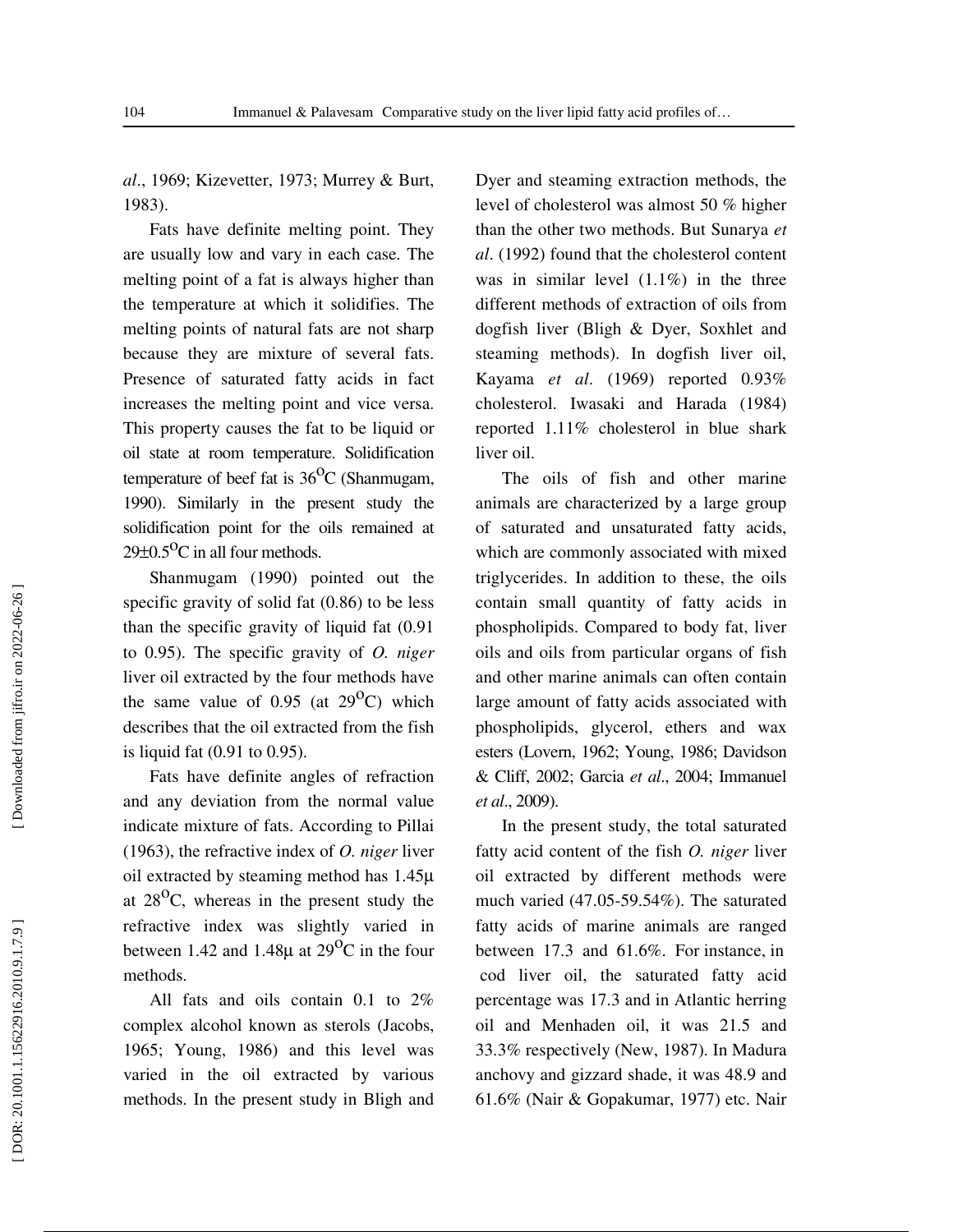*al*., 1969; Kizevetter, 1973; Murrey & Burt, 1983).

Fats have definite melting point. They are usually low and vary in each case. The melting point of a fat is always higher than the temperature at which it solidifies. The melting points of natural fats are not sharp because they are mixture of several fats. Presence of saturated fatty acids in fact increases the melting point and vice versa. This property causes the fat to be liquid or oil state at room temperature. Solidification temperature of beef fat is  $36^{\circ}$ C (Shanmugam, 1990). Similarly in the present study the solidification point for the oils remained at  $29\pm0.5$ <sup>O</sup>C in all four methods.

Shanmugam (1990) pointed out the specific gravity of solid fat (0.86) to be less than the specific gravity of liquid fat (0.91 to 0.95). The specific gravity of *O. niger* liver oil extracted by the four methods have the same value of  $0.95$  (at  $29^{\circ}$ C) which describes that the oil extracted from the fish is liquid fat (0.91 to 0.95).

Fats have definite angles of refraction and any deviation from the normal value indicate mixture of fats. According to Pillai (1963), the refractive index of *O. niger* liver oil extracted by steaming method has 1.45 µ at  $28^{\circ}$ C, whereas in the present study the refractive index was slightly varied in between 1.42 and 1.48 $\mu$  at 29<sup>o</sup>C in the four methods.

All fats and oils contain 0.1 to 2% complex alcohol known as sterols (Jacobs, 1965; Young, 1986) and this level was varied in the oil extracted by various methods. In the present study in Bligh and

Dyer and steaming extraction methods, the level of cholesterol was almost 50 % higher than the other two methods. But Sunarya *et al*. (1992) found that the cholesterol content was in similar level  $(1.1\%)$  in the three different methods of extraction of oils from dogfish liver (Bligh & Dyer, Soxhlet and steaming methods). In dogfish liver oil, Kayama *et al*. (1969) reported 0.93% cholesterol. Iwasaki and Harada (1984) reported 1.11% cholesterol in blue shark liver oil.

The oils of fish and other marine animals are characterized by a large group of saturated and unsaturated fatty acids, which are commonly associated with mixed triglycerides. In addition to these, the oils contain small quantity of fatty acids in phospholipids. Compared to body fat, liver oils and oils from particular organs of fish and other marine animals can often contain large amount of fatty acids associated with phospholipids, glycerol, ethers and wax esters (Lovern, 1962; Young, 1986; Davidson & Cliff, 2002; Garcia *et al*., 2004; Immanuel *et al*., 2009).

In the present study, the total saturated fatty acid content of the fish *O. niger* liver oil extracted by different methods were much varied (47.05-59.54%). The saturated fatty acids of marine animals are ranged between 17.3 and 61.6%. For instance, in cod liver oil, the saturated fatty acid percentage was 17.3 and in Atlantic herring oil and Menhaden oil, it was 21.5 and 33.3% respectively (New, 1987). In Madura anchovy and gizzard shade, it was 48.9 and 61.6% (Nair & Gopakumar, 1977) etc. Nair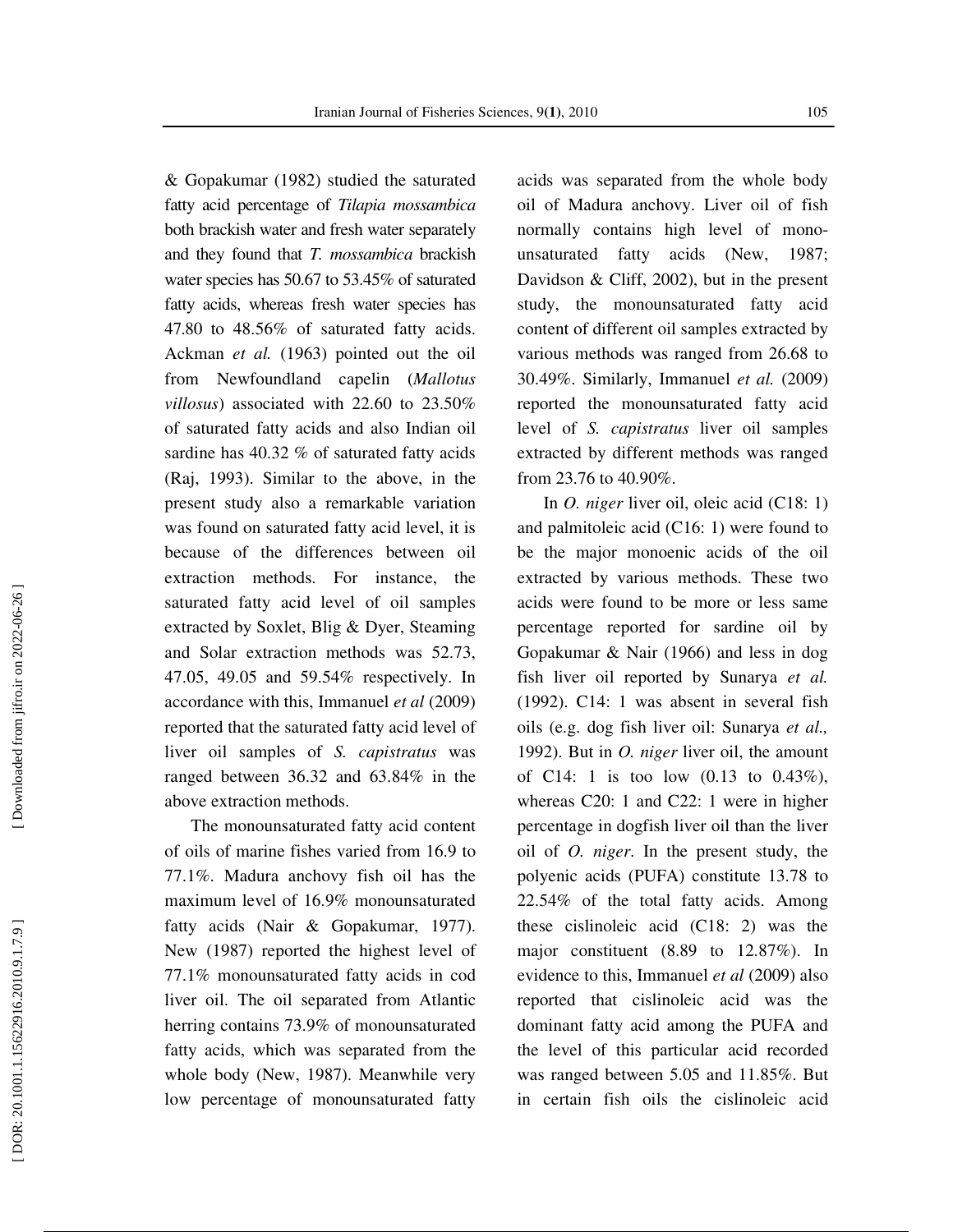& Gopakumar (1982) studied the saturated fatty acid percentage of *Tilapia mossambica* both brackish water and fresh water separately and they found that *T. mossambica* brackish water species has 50.67 to 53.45% of saturated fatty acids, whereas fresh water species has 47.80 to 48.56% of saturated fatty acids. Ackman *et al.* (1963) pointed out the oil from Newfoundland capelin (*Mallotus villosus*) associated with 22.60 to 23.50% of saturated fatty acids and also Indian oil sardine has 40.32 % of saturated fatty acids (Raj, 1993). Similar to the above, in the present study also a remarkable variation was found on saturated fatty acid level, it is because of the differences between oil extraction methods. For instance, the saturated fatty acid level of oil samples extracted by Soxlet, Blig & Dyer, Steaming and Solar extraction methods was 52.73, 47.05, 49.05 and 59.54% respectively. In accordance with this, Immanuel *et al* (2009) reported that the saturated fatty acid level of liver oil samples of *S. capistratus* was ranged between 36.32 and 63.84% in the above extraction methods.

The monounsaturated fatty acid content of oils of marine fishes varied from 16.9 to 77.1%. Madura anchovy fish oil has the maximum level of 16.9% monounsaturated fatty acids (Nair & Gopakumar, 1977). New (1987) reported the highest level of 77.1% monounsaturated fatty acids in cod liver oil. The oil separated from Atlantic herring contains 73.9% of monounsaturated fatty acids, which was separated from the whole body (New, 1987). Meanwhile very low percentage of monounsaturated fatty

acids was separated from the whole body oil of Madura anchovy. Liver oil of fish normally contains high level of monounsaturated fatty acids (New, 1987; Davidson & Cliff, 2002), but in the present study, the monounsaturated fatty acid content of different oil samples extracted by various methods was ranged from 26.68 to 30.49%. Similarly, Immanuel *et al.* (2009) reported the monounsaturated fatty acid level of *S. capistratus* liver oil samples extracted by different methods was ranged from 23.76 to 40.90%.

In *O. niger* liver oil, oleic acid (C18: 1) and palmitoleic acid (C16: 1) were found to be the major monoenic acids of the oil extracted by various methods. These two acids were found to be more or less same percentage reported for sardine oil by Gopakumar & Nair (1966) and less in dog fish liver oil reported by Sunarya *et al.* (1992). C14: 1 was absent in several fish oils (e.g. dog fish liver oil: Sunarya *et al.,* 1992). But in *O. niger* liver oil, the amount of C14: 1 is too low  $(0.13 \text{ to } 0.43\%),$ whereas C20: 1 and C22: 1 were in higher percentage in dogfish liver oil than the liver oil of *O. niger*. In the present study, the polyenic acids (PUFA) constitute 13.78 to 22.54% of the total fatty acids. Among these cislinoleic acid (C18: 2) was the major constituent (8.89 to 12.87%). In evidence to this, Immanuel *et al* (2009) also reported that cislinoleic acid was the dominant fatty acid among the PUFA and the level of this particular acid recorded was ranged between 5.05 and 11.85%. But in certain fish oils the cislinoleic acid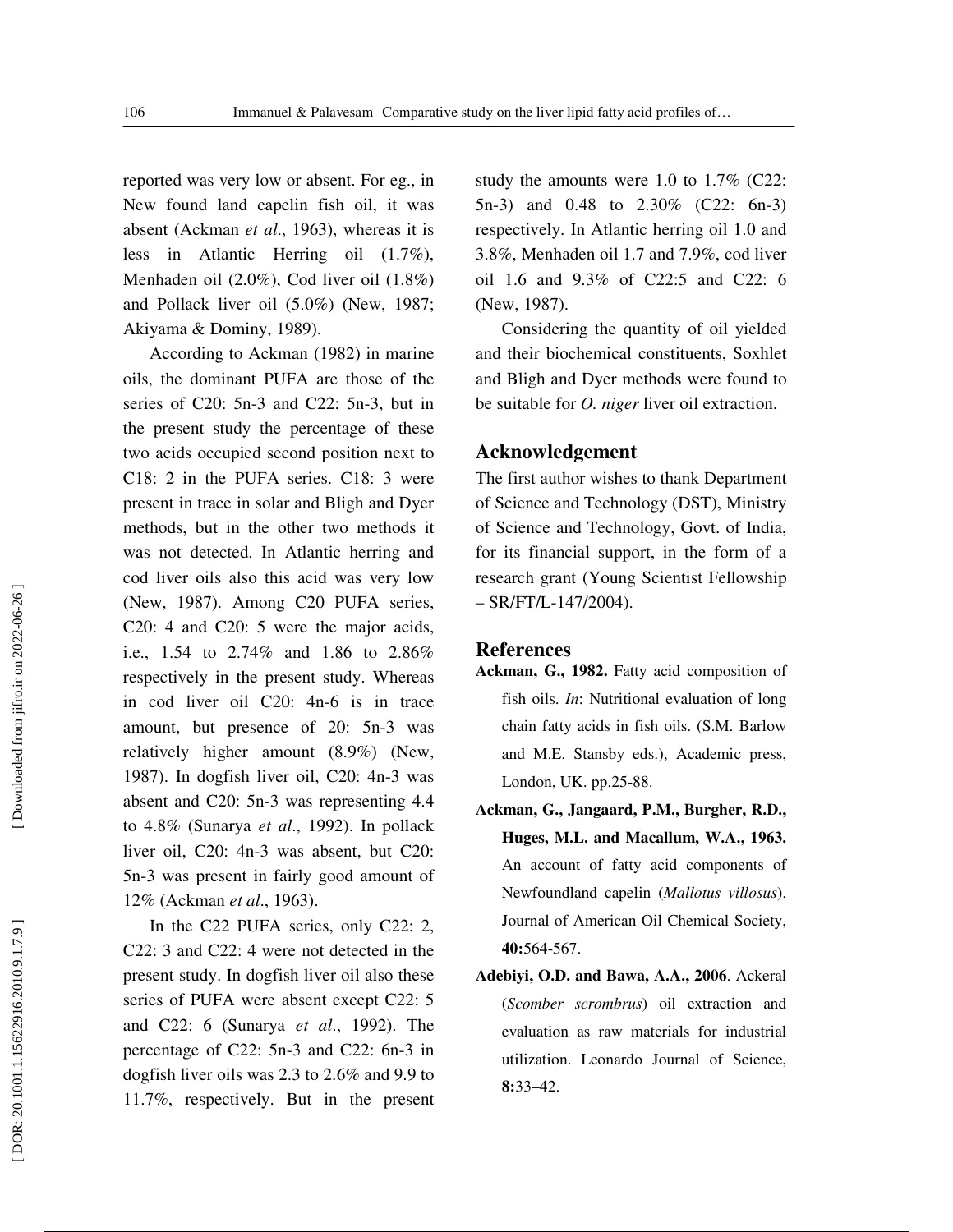reported was very low or absent. For eg., in New found land capelin fish oil, it was absent (Ackman *et al*., 1963), whereas it is less in Atlantic Herring oil (1.7%), Menhaden oil (2.0%), Cod liver oil (1.8%) and Pollack liver oil (5.0%) (New, 1987; Akiyama & Dominy, 1989).

According to Ackman (1982) in marine oils, the dominant PUFA are those of the series of C20: 5n-3 and C22: 5n-3, but in the present study the percentage of these two acids occupied second position next to C18: 2 in the PUFA series. C18: 3 were present in trace in solar and Bligh and Dyer methods, but in the other two methods it was not detected. In Atlantic herring and cod liver oils also this acid was very low (New, 1987). Among C20 PUFA series, C20: 4 and C20: 5 were the major acids, i.e., 1.54 to 2.74% and 1.86 to 2.86% respectively in the present study. Whereas in cod liver oil C20: 4n-6 is in trace amount, but presence of 20: 5n-3 was relatively higher amount (8.9%) (New, 1987). In dogfish liver oil, C20: 4n-3 was absent and C20: 5n-3 was representing 4.4 to 4.8% (Sunarya *et al*., 1992). In pollack liver oil, C20: 4n-3 was absent, but C20: 5n-3 was present in fairly good amount of 12% (Ackman *et al*., 1963).

In the C22 PUFA series, only C22: 2, C22: 3 and C22: 4 were not detected in the present study. In dogfish liver oil also these series of PUFA were absent except C22: 5 and C22: 6 (Sunarya *et al*., 1992). The percentage of C22: 5n-3 and C22: 6n-3 in dogfish liver oils was 2.3 to 2.6% and 9.9 to 11.7%, respectively. But in the present

study the amounts were 1.0 to 1.7% (C22: 5n-3) and 0.48 to 2.30% (C22: 6n-3) respectively. In Atlantic herring oil 1.0 and 3.8%, Menhaden oil 1.7 and 7.9%, cod liver oil 1.6 and 9.3% of C22:5 and C22: 6 (New, 1987).

Considering the quantity of oil yielded and their biochemical constituents, Soxhlet and Bligh and Dyer methods were found to be suitable for *O. niger* liver oil extraction.

#### **Acknowledgement**

The first author wishes to thank Department of Science and Technology (DST), Ministry of Science and Technology, Govt. of India, for its financial support, in the form of a research grant (Young Scientist Fellowship  $-$  SR/FT/L-147/2004).

#### **References**

- **Ackman, G., 1982.** Fatty acid composition of fish oils. *In*: Nutritional evaluation of long chain fatty acids in fish oils. (S.M. Barlow and M.E. Stansby eds.), Academic press, London, UK. pp.25-88.
- **Ackman, G., Jangaard, P.M., Burgher, R.D., Huges, M.L. and Macallum, W.A., 1963.** An account of fatty acid components of Newfoundland capelin (*Mallotus villosus*). Journal of American Oil Chemical Society, **40:**564-567.
- **Adebiyi, O.D. and Bawa, A.A., 2006**. Ackeral (*Scomber scrombrus*) oil extraction and evaluation as raw materials for industrial utilization. Leonardo Journal of Science, **8:**33–42.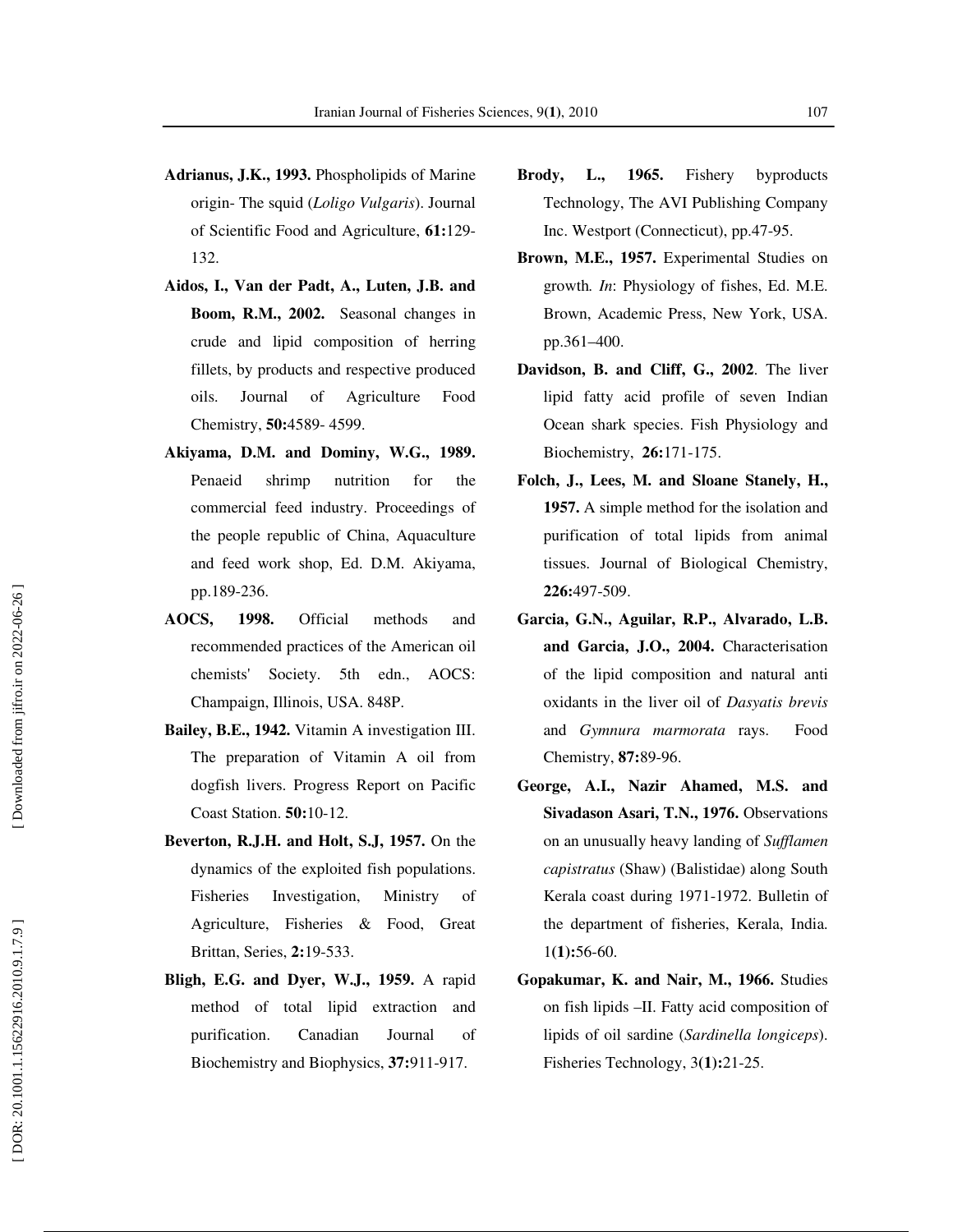- **Adrianus, J.K., 1993.** Phospholipids of Marine origin- The squid (*Loligo Vulgaris*). Journal of Scientific Food and Agriculture, **61:**129- 132.
- **Aidos, I., Van der Padt, A., Luten, J.B. and Boom, R.M., 2002.** Seasonal changes in crude and lipid composition of herring fillets, by products and respective produced oils. Journal of Agriculture Food Chemistry, **50:**4589- 4599.
- **Akiyama, D.M. and Dominy, W.G., 1989.** Penaeid shrimp nutrition for the commercial feed industry. Proceedings of the people republic of China, Aquaculture and feed work shop, Ed. D.M. Akiyama, pp.189-236.
- **AOCS, 1998.** Official methods and recommended practices of the American oil chemists' Society. 5th edn., AOCS: Champaign, Illinois, USA. 848P.
- **Bailey, B.E., 1942.** Vitamin A investigation III. The preparation of Vitamin A oil from dogfish livers. Progress Report on Pacific Coast Station. **50:**10-12.
- **Beverton, R.J.H. and Holt, S.J, 1957.** On the dynamics of the exploited fish populations. Fisheries Investigation, Ministry of Agriculture, Fisheries & Food, Great Brittan, Series, **2:**19-533.
- **Bligh, E.G. and Dyer, W.J., 1959.** A rapid method of total lipid extraction and purification. Canadian Journal of Biochemistry and Biophysics, **37:**911-917.
- **Brody, L., 1965.** Fishery byproducts Technology, The AVI Publishing Company Inc. Westport (Connecticut), pp.47-95.
- **Brown, M.E., 1957.** Experimental Studies on growth*. In* : Physiology of fishes, Ed. M.E. Brown, Academic Press, New York, USA. pp.361–400.
- **Davidson, B. and Cliff, G., 2002**. The liver lipid fatty acid profile of seven Indian Ocean shark species. Fish Physiology and Biochemistry, **26:**171-175.
- **Folch, J., Lees, M. and Sloane Stanely, H., 1957.** A simple method for the isolation and purification of total lipids from animal tissues. Journal of Biological Chemistry, **226:**497-509.
- **Garcia, G.N., Aguilar, R.P., Alvarado, L.B. and Garcia, J.O., 2004.** Characterisation of the lipid composition and natural anti oxidants in the liver oil of *Dasyatis brevis* and *Gymnura marmorata* rays. Food Chemistry, **87:**89-96.
- **George, A.I., Nazir Ahamed, M.S. and Sivadason Asari, T.N., 1976.** Observations on an unusually heavy landing of *Sufflamen capistratus* (Shaw) (Balistidae) along South Kerala coast during 1971-1972. Bulletin of the department of fisheries, Kerala, India. 1**(1):**56-60.
- **Gopakumar, K. and Nair, M., 1966.** Studies on fish lipids –II. Fatty acid composition of lipids of oil sardine (*Sardinella longiceps*). Fisheries Technology, 3**(1):**21-25.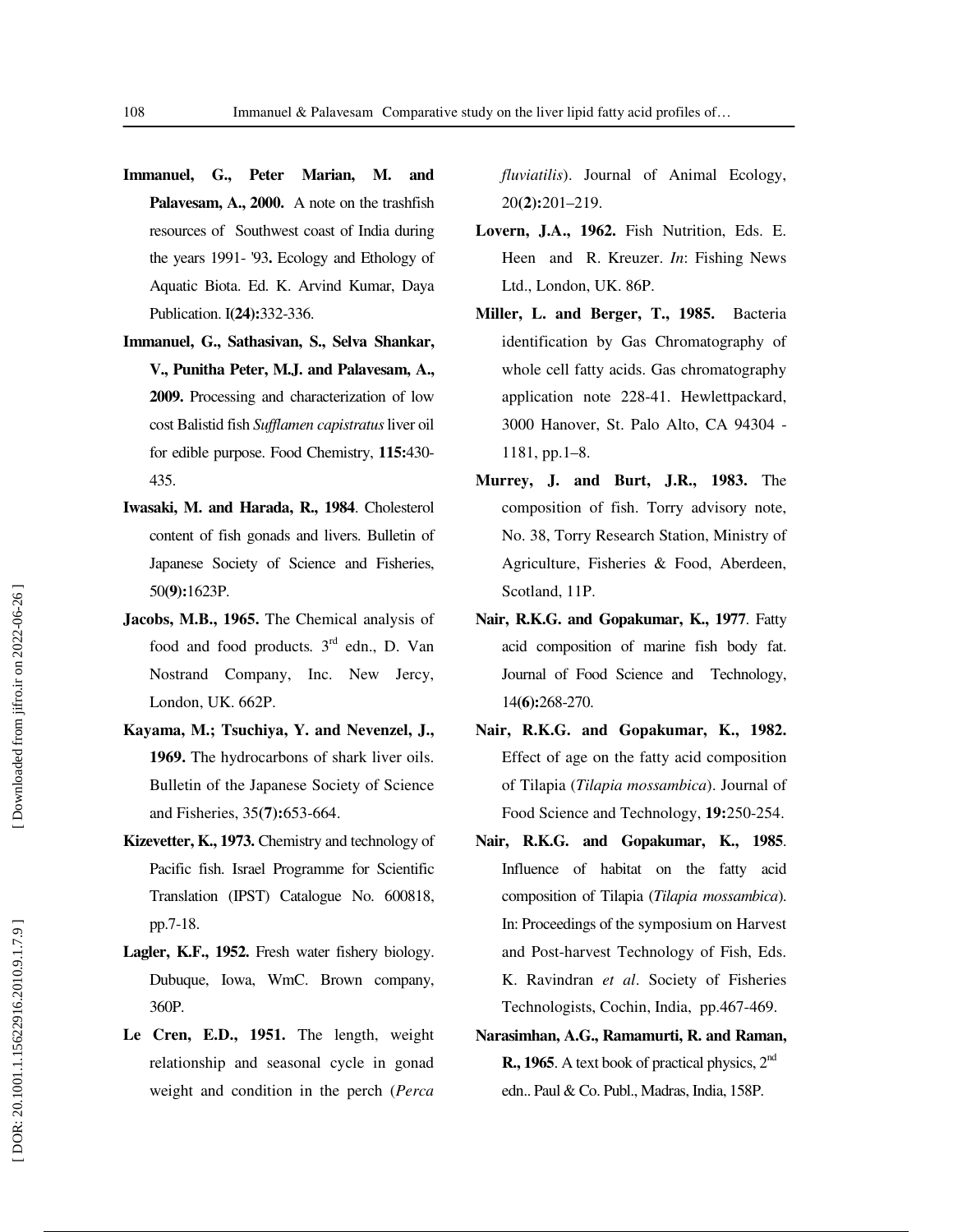- **Immanuel, G., Peter Marian, M. and Palavesam, A., 2000.** A note on the trashfish resources of Southwest coast of India during the years 1991- '93**.** Ecology and Ethology of Aquatic Biota. Ed. K. Arvind Kumar, Daya Publication. I**(24):**332-336.
- **Immanuel, G., Sathasivan, S., Selva Shankar, V., Punitha Peter, M.J. and Palavesam, A., 2009.** Processing and characterization of low cost Balistid fish *Sufflamen capistratus* liver oil for edible purpose. Food Chemistry, **115:**430- 435.
- **Iwasaki, M. and Harada, R., 1984**. Cholesterol content of fish gonads and livers. Bulletin of Japanese Society of Science and Fisheries, 50**(9):**1623P.
- **Jacobs, M.B., 1965.** The Chemical analysis of food and food products. 3<sup>rd</sup> edn., D. Van Nostrand Company, Inc. New Jercy, London, UK. 662P.
- **Kayama, M.; Tsuchiya, Y. and Nevenzel, J., 1969.** The hydrocarbons of shark liver oils. Bulletin of the Japanese Society of Science and Fisheries, 35**(7):**653-664.
- **Kizevetter, K., 1973.** Chemistry and technology of Pacific fish. Israel Programme for Scientific Translation (IPST) Catalogue No. 600818, pp.7-18.
- **Lagler, K.F., 1952.** Fresh water fishery biology. Dubuque, Iowa, WmC. Brown company, 360P.
- **Le Cren, E.D., 1951.** The length, weight relationship and seasonal cycle in gonad weight and condition in the perch (*Perca*

*fluviatilis*). Journal of Animal Ecology, 20**(2):**201–219.

- **Lovern, J.A., 1962.** Fish Nutrition, Eds. E. Heen and R. Kreuzer. *In*: Fishing News Ltd., London, UK. 86P.
- **Miller, L. and Berger, T., 1985.** Bacteria identification by Gas Chromatography of whole cell fatty acids. Gas chromatography application note 228-41. Hewlettpackard, 3000 Hanover, St. Palo Alto, CA 94304 - 1181, pp.1–8.
- **Murrey, J. and Burt, J.R., 1983.** The composition of fish. Torry advisory note, No. 38, Torry Research Station, Ministry of Agriculture, Fisheries & Food, Aberdeen, Scotland, 11P.
- **Nair, R.K.G. and Gopakumar, K., 1977**. Fatty acid composition of marine fish body fat. Journal of Food Science and Technology, 14**(6):**268-270.
- **Nair, R.K.G. and Gopakumar, K., 1982.** Effect of age on the fatty acid composition of Tilapia (*Tilapia mossambica*). Journal of Food Science and Technology, **19:**250-254.
- **Nair, R.K.G. and Gopakumar, K., 1985**. Influence of habitat on the fatty acid composition of Tilapia (*Tilapia mossambica*). In: Proceedings of the symposium on Harvest and Post-harvest Technology of Fish, Eds. K. Ravindran *et al*. Society of Fisheries Technologists, Cochin, India, pp.467-469.
- **Narasimhan, A.G., Ramamurti, R. and Raman, R., 1965**. A text book of practical physics, 2<sup>nd</sup> edn.. Paul & Co. Publ., Madras, India, 158P.

j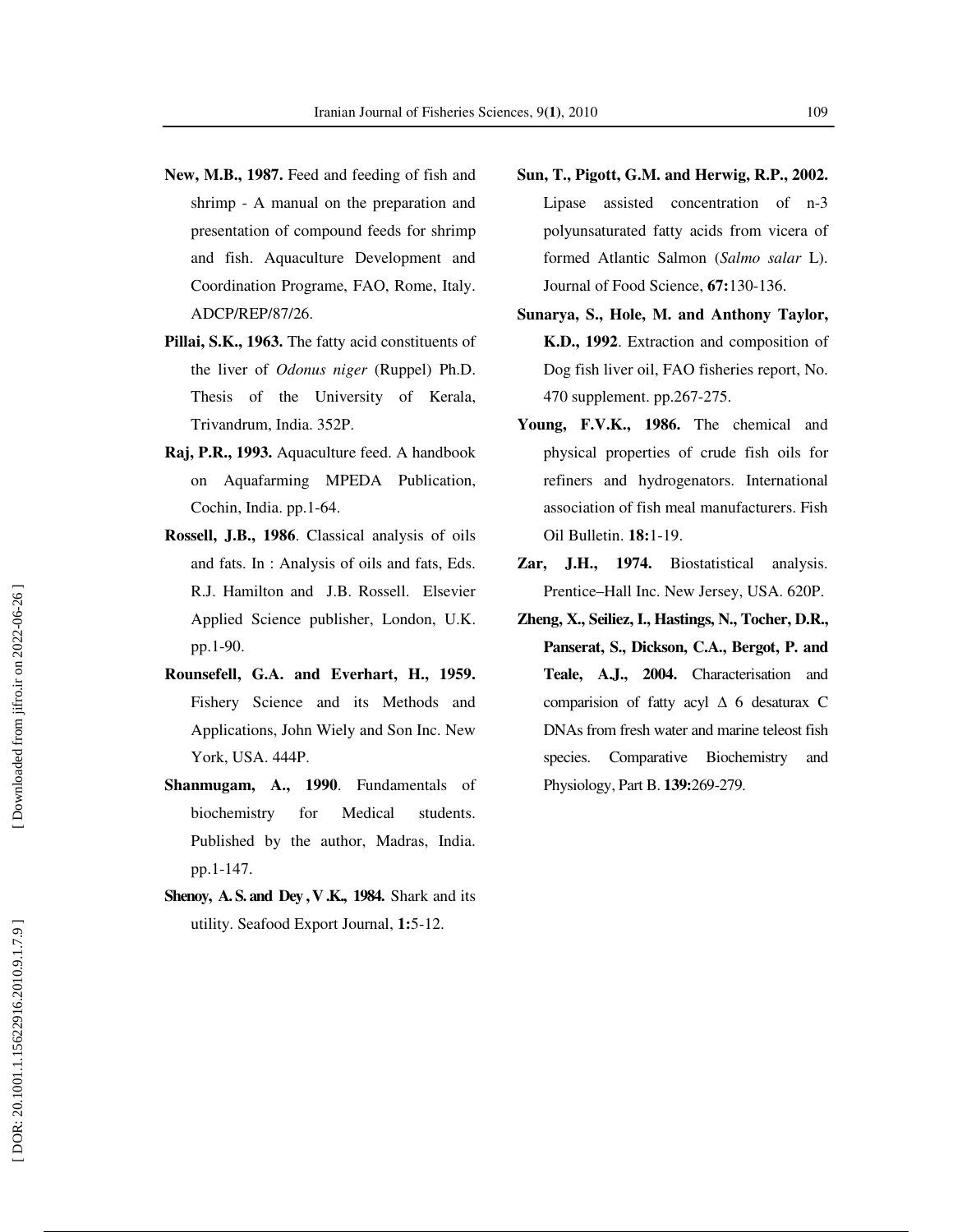- **New, M.B., 1987.** Feed and feeding of fish and shrimp - A manual on the preparation and presentation of compound feeds for shrimp and fish. Aquaculture Development and Coordination Programe, FAO, Rome, Italy. ADCP/REP/87/26.
- **Pillai, S.K., 1963.** The fatty acid constituents of the liver of *Odonus niger* (Ruppel) Ph.D. Thesis of the University of Kerala, Trivandrum, India. 352P.
- **Raj, P.R., 1993.** Aquaculture feed. A handbook on Aquafarming MPEDA Publication, Cochin, India. pp.1-64.
- **Rossell, J.B., 1986**. Classical analysis of oils and fats. In : Analysis of oils and fats, Eds. R.J. Hamilton and J.B. Rossell. Elsevier Applied Science publisher, London, U.K. pp.1-90.
- **Rounsefell, G.A. and Everhart, H., 1959.** Fishery Science and its Methods and Applications, John Wiely and Son Inc. New York, USA. 444P.
- **Shanmugam, A., 1990**. Fundamentals of biochemistry for Medical students. Published by the author, Madras, India. pp.1-147.
- **Shenoy, A. S. and Dey , V .K., 1984.** Shark and its utility. Seafood Export Journal, **1:**5-12.
- **Sun, T., Pigott, G.M. and Herwig, R.P., 2002.** Lipase assisted concentration of n-3 polyunsaturated fatty acids from vicera of formed Atlantic Salmon (*Salmo salar* L). Journal of Food Science, **67:**130-136.
- **Sunarya, S., Hole, M. and Anthony Taylor, K.D., 1992**. Extraction and composition of Dog fish liver oil, FAO fisheries report, No. 470 supplement. pp.267-275.
- **Young, F.V.K., 1986.** The chemical and physical properties of crude fish oils for refiners and hydrogenators. International association of fish meal manufacturers. Fish Oil Bulletin. **18:**1-19.
- **Zar, J.H., 1974.** Biostatistical analysis. Prentice–Hall Inc. New Jersey, USA. 620P.
- **Zheng, X., Seiliez, I., Hastings, N., Tocher, D.R., Panserat, S., Dickson, C.A., Bergot, P. and Teale, A.J., 2004.** Characterisation and comparision of fatty acyl  $\Delta$  6 desaturax C DNAs from fresh water and marine teleost fish species. Comparative Biochemistry and Physiology, Part B. **139:**269-279.